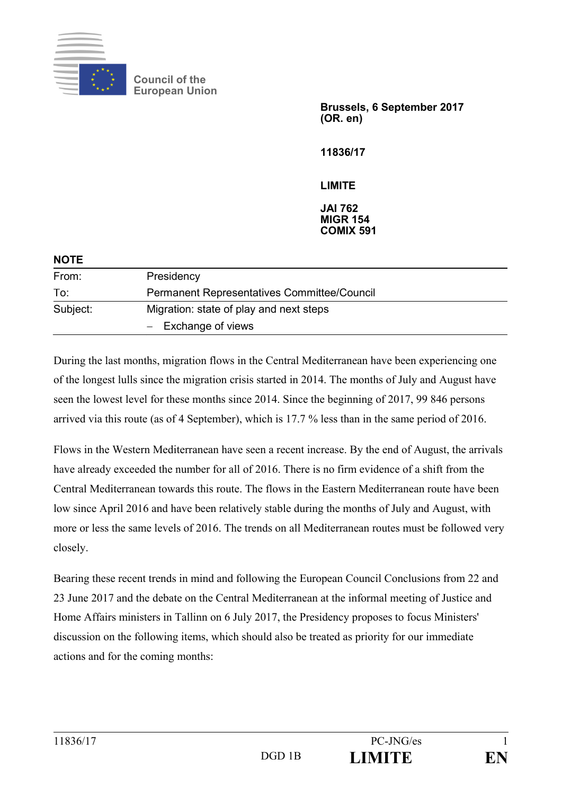

**Council of the European Union** 

> **Brussels, 6 September 2017 (OR. en)**

**11836/17** 

**LIMITE** 

**JAI 762 MIGR 154 COMIX 591** 

| <b>NOTE</b> |                                                                  |
|-------------|------------------------------------------------------------------|
| From:       | Presidency                                                       |
| To:         | Permanent Representatives Committee/Council                      |
| Subject:    | Migration: state of play and next steps<br>$-$ Exchange of views |

During the last months, migration flows in the Central Mediterranean have been experiencing one of the longest lulls since the migration crisis started in 2014. The months of July and August have seen the lowest level for these months since 2014. Since the beginning of 2017, 99 846 persons arrived via this route (as of 4 September), which is 17.7 % less than in the same period of 2016.

Flows in the Western Mediterranean have seen a recent increase. By the end of August, the arrivals have already exceeded the number for all of 2016. There is no firm evidence of a shift from the Central Mediterranean towards this route. The flows in the Eastern Mediterranean route have been low since April 2016 and have been relatively stable during the months of July and August, with more or less the same levels of 2016. The trends on all Mediterranean routes must be followed very closely.

Bearing these recent trends in mind and following the European Council Conclusions from 22 and 23 June 2017 and the debate on the Central Mediterranean at the informal meeting of Justice and Home Affairs ministers in Tallinn on 6 July 2017, the Presidency proposes to focus Ministers' discussion on the following items, which should also be treated as priority for our immediate actions and for the coming months: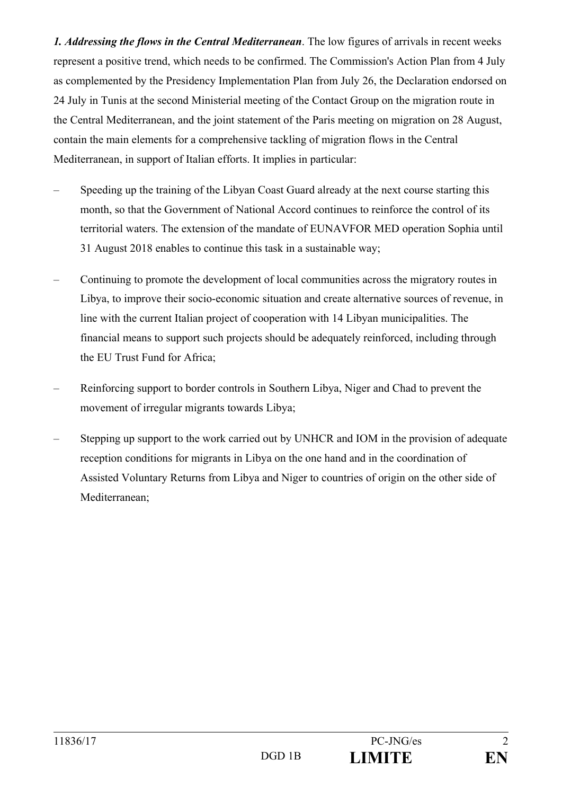*1. Addressing the flows in the Central Mediterranean*. The low figures of arrivals in recent weeks represent a positive trend, which needs to be confirmed. The Commission's Action Plan from 4 July as complemented by the Presidency Implementation Plan from July 26, the Declaration endorsed on 24 July in Tunis at the second Ministerial meeting of the Contact Group on the migration route in the Central Mediterranean, and the joint statement of the Paris meeting on migration on 28 August, contain the main elements for a comprehensive tackling of migration flows in the Central Mediterranean, in support of Italian efforts. It implies in particular:

- Speeding up the training of the Libyan Coast Guard already at the next course starting this month, so that the Government of National Accord continues to reinforce the control of its territorial waters. The extension of the mandate of EUNAVFOR MED operation Sophia until 31 August 2018 enables to continue this task in a sustainable way;
- Continuing to promote the development of local communities across the migratory routes in Libya, to improve their socio-economic situation and create alternative sources of revenue, in line with the current Italian project of cooperation with 14 Libyan municipalities. The financial means to support such projects should be adequately reinforced, including through the EU Trust Fund for Africa;
- Reinforcing support to border controls in Southern Libya, Niger and Chad to prevent the movement of irregular migrants towards Libya;
- Stepping up support to the work carried out by UNHCR and IOM in the provision of adequate reception conditions for migrants in Libya on the one hand and in the coordination of Assisted Voluntary Returns from Libya and Niger to countries of origin on the other side of Mediterranean;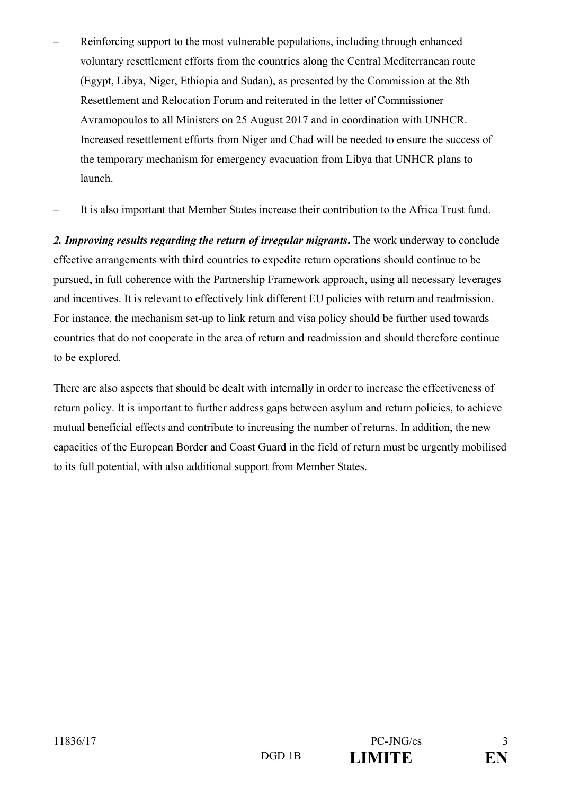- Reinforcing support to the most vulnerable populations, including through enhanced voluntary resettlement efforts from the countries along the Central Mediterranean route (Egypt, Libya, Niger, Ethiopia and Sudan), as presented by the Commission at the 8th Resettlement and Relocation Forum and reiterated in the letter of Commissioner Avramopoulos to all Ministers on 25 August 2017 and in coordination with UNHCR. Increased resettlement efforts from Niger and Chad will be needed to ensure the success of the temporary mechanism for emergency evacuation from Libya that UNHCR plans to launch.
- It is also important that Member States increase their contribution to the Africa Trust fund.

*2. Improving results regarding the return of irregular migrants***.** The work underway to conclude effective arrangements with third countries to expedite return operations should continue to be pursued, in full coherence with the Partnership Framework approach, using all necessary leverages and incentives. It is relevant to effectively link different EU policies with return and readmission. For instance, the mechanism set-up to link return and visa policy should be further used towards countries that do not cooperate in the area of return and readmission and should therefore continue to be explored.

There are also aspects that should be dealt with internally in order to increase the effectiveness of return policy. It is important to further address gaps between asylum and return policies, to achieve mutual beneficial effects and contribute to increasing the number of returns. In addition, the new capacities of the European Border and Coast Guard in the field of return must be urgently mobilised to its full potential, with also additional support from Member States.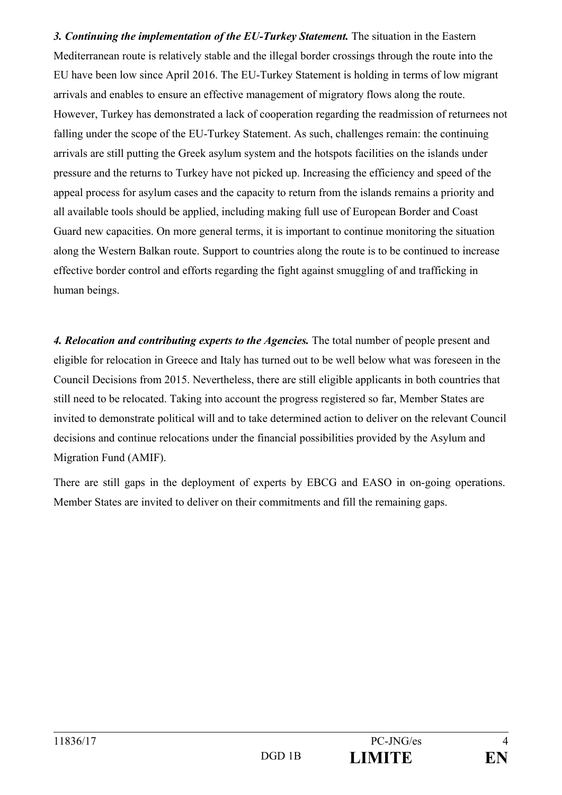*3. Continuing the implementation of the EU-Turkey Statement.* The situation in the Eastern Mediterranean route is relatively stable and the illegal border crossings through the route into the EU have been low since April 2016. The EU-Turkey Statement is holding in terms of low migrant arrivals and enables to ensure an effective management of migratory flows along the route. However, Turkey has demonstrated a lack of cooperation regarding the readmission of returnees not falling under the scope of the EU-Turkey Statement. As such, challenges remain: the continuing arrivals are still putting the Greek asylum system and the hotspots facilities on the islands under pressure and the returns to Turkey have not picked up. Increasing the efficiency and speed of the appeal process for asylum cases and the capacity to return from the islands remains a priority and all available tools should be applied, including making full use of European Border and Coast Guard new capacities. On more general terms, it is important to continue monitoring the situation along the Western Balkan route. Support to countries along the route is to be continued to increase effective border control and efforts regarding the fight against smuggling of and trafficking in human beings.

*4. Relocation and contributing experts to the Agencies.* The total number of people present and eligible for relocation in Greece and Italy has turned out to be well below what was foreseen in the Council Decisions from 2015. Nevertheless, there are still eligible applicants in both countries that still need to be relocated. Taking into account the progress registered so far, Member States are invited to demonstrate political will and to take determined action to deliver on the relevant Council decisions and continue relocations under the financial possibilities provided by the Asylum and Migration Fund (AMIF).

There are still gaps in the deployment of experts by EBCG and EASO in on-going operations. Member States are invited to deliver on their commitments and fill the remaining gaps.